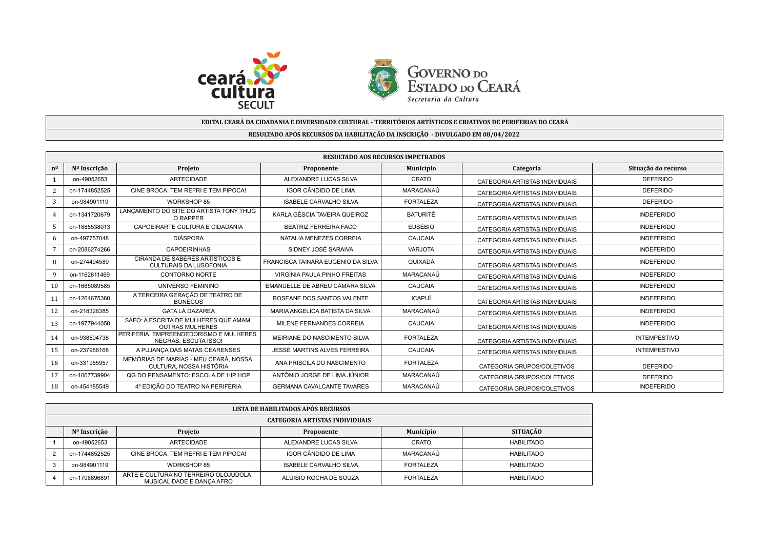



## **EDITAL CEARÁ DA CIDADANIA E DIVERSIDADE CULTURAL - TERRITÓRIOS ARTÍSTICOS E CRIATIVOS DE PERIFERIAS DO CEARÁ**

## **RESULTADO APÓS RECURSOS DA HABILITAÇÃO DA INSCRIÇÃO - DIVULGADO EM 08/04/2022**

|                     | <b>RESULTADO AOS RECURSOS IMPETRADOS</b> |                                                                       |                                    |                  |                                |                     |  |  |
|---------------------|------------------------------------------|-----------------------------------------------------------------------|------------------------------------|------------------|--------------------------------|---------------------|--|--|
| $n^{\underline{0}}$ | Nº Inscrição                             | Projeto                                                               | Proponente                         | Município        | Categoria                      | Situação do recurso |  |  |
|                     | on-49052653                              | <b>ARTECIDADE</b>                                                     | ALEXANDRE LUCAS SILVA              | CRATO            | CATEGORIA ARTISTAS INDIVIDUAIS | <b>DEFERIDO</b>     |  |  |
|                     | on-1744852525                            | CINE BROCA: TEM REFRI E TEM PIPOCA!                                   | IGOR CÂNDIDO DE LIMA               | MARACANAÚ        | CATEGORIA ARTISTAS INDIVIDUAIS | <b>DEFERIDO</b>     |  |  |
| 3                   | on-984901119                             | WORKSHOP 85                                                           | <b>ISABELE CARVALHO SILVA</b>      | <b>FORTALEZA</b> | CATEGORIA ARTISTAS INDIVIDUAIS | <b>DEFERIDO</b>     |  |  |
|                     | on-1341720679                            | LANCAMENTO DO SITE DO ARTISTA TONY THUG<br>O RAPPER                   | KARLA GÉSCIA TAVEIRA QUEIROZ       | <b>BATURITÉ</b>  | CATEGORIA ARTISTAS INDIVIDUAIS | <b>INDEFERIDO</b>   |  |  |
|                     | on-1885538013                            | CAPOEIRARTE CULTURA E CIDADANIA                                       | <b>BEATRIZ FERREIRA FACO</b>       | <b>EUSÉBIO</b>   | CATEGORIA ARTISTAS INDIVIDUAIS | <b>INDEFERIDO</b>   |  |  |
|                     | on-497757048                             | <b>DIÁSPORA</b>                                                       | NATALIA MENEZES CORREIA            | CAUCAIA          | CATEGORIA ARTISTAS INDIVIDUAIS | <b>INDEFERIDO</b>   |  |  |
|                     | on-2086274266                            | <b>CAPOEIRINHAS</b>                                                   | SIDNEY JOSÉ SARAIVA                | <b>VARJOTA</b>   | CATEGORIA ARTISTAS INDIVIDUAIS | <b>INDEFERIDO</b>   |  |  |
| 8                   | on-274494589                             | CIRANDA DE SABERES ARTÍSTICOS E<br><b>CULTURAIS DA LUSOFONIA</b>      | FRANCISCA TAINARA EUGENIO DA SILVA | QUIXADÁ          | CATEGORIA ARTISTAS INDIVIDUAIS | <b>INDEFERIDO</b>   |  |  |
| 9                   | on-1162611469                            | CONTORNO NORTE                                                        | VIRGÍNIA PAULA PINHO FREITAS       | MARACANAÚ        | CATEGORIA ARTISTAS INDIVIDUAIS | <b>INDEFERIDO</b>   |  |  |
| 10                  | on-1665089585                            | UNIVERSO FEMININO                                                     | EMANUELLE DE ABREU CÂMARA SILVA    | CAUCAIA          | CATEGORIA ARTISTAS INDIVIDUAIS | <b>INDEFERIDO</b>   |  |  |
| 11                  | on-1264675360                            | A TERCEIRA GERAÇÃO DE TEATRO DE<br><b>BONECOS</b>                     | ROSEANE DOS SANTOS VALENTE         | ICAPUÍ           | CATEGORIA ARTISTAS INDIVIDUAIS | <b>INDEFERIDO</b>   |  |  |
| 12                  | on-218326385                             | <b>GATA LÁ DAZAREA</b>                                                | MARIA ANGELICA BATISTA DA SILVA    | MARACANAÚ        | CATEGORIA ARTISTAS INDIVIDUAIS | <b>INDEFERIDO</b>   |  |  |
| 13                  | on-1977944050                            | SAFO: A ESCRITA DE MULHERES QUE AMAM<br><b>OUTRAS MULHERES</b>        | MILENE FERNANDES CORREIA           | CAUCAIA          | CATEGORIA ARTISTAS INDIVIDUAIS | <b>INDEFERIDO</b>   |  |  |
| 14                  | on-938504738                             | PERIFERIA. EMPREENDEDORISMO E MULHERES<br><b>NEGRAS: ESCUTA ISSO!</b> | MEIRIANE DO NASCIMENTO SILVA       | <b>FORTALEZA</b> | CATEGORIA ARTISTAS INDIVIDUAIS | <b>INTEMPESTIVO</b> |  |  |
| 15                  | on-237986168                             | A PUJANÇA DAS MATAS CEARENSES                                         | JESSÉ MARTINS ALVES FERREIRA       | CAUCAIA          | CATEGORIA ARTISTAS INDIVIDUAIS | <b>INTEMPESTIVO</b> |  |  |
| 16                  | on-331955957                             | MEMÓRIAS DE MARIAS - MEU CEARÁ, NOSSA<br>CULTURA. NOSSA HISTÓRIA      | ANA PRISCILA DO NASCIMENTO         | <b>FORTALEZA</b> | CATEGORIA GRUPOS/COLETIVOS     | <b>DEFERIDO</b>     |  |  |
| 17                  | on-1067739904                            | QG DO PENSAMENTO: ESCOLA DE HIP HOP                                   | ANTÔNIO JORGE DE LIMA JÚNIOR       | MARACANAÚ        | CATEGORIA GRUPOS/COLETIVOS     | <b>DEFERIDO</b>     |  |  |
| 18                  | on-454185549                             | 4ª EDICÃO DO TEATRO NA PERIFERIA                                      | <b>GERMANA CAVALCANTE TAVARES</b>  | MARACANAÚ        | CATEGORIA GRUPOS/COLETIVOS     | <b>INDEFERIDO</b>   |  |  |

| LISTA DE HABILITADOS APÓS RECURSOS |                                                                    |                        |                  |                   |  |  |
|------------------------------------|--------------------------------------------------------------------|------------------------|------------------|-------------------|--|--|
| CATEGORIA ARTISTAS INDIVIDUAIS     |                                                                    |                        |                  |                   |  |  |
| Nº Inscrição                       | Projeto                                                            | Proponente             | Município        | <b>SITUACÃO</b>   |  |  |
| on-49052653                        | ARTECIDADE                                                         | ALEXANDRE LUCAS SILVA  | CRATO            | <b>HABILITADO</b> |  |  |
| on-1744852525                      | CINE BROCA: TEM REFRI E TEM PIPOCA!                                | IGOR CÂNDIDO DE LIMA   | MARACANAÚ        | HABILITADO        |  |  |
| on-984901119                       | WORKSHOP 85                                                        | ISABELE CARVALHO SILVA | <b>FORTALEZA</b> | <b>HABILITADO</b> |  |  |
| on-1706896891                      | ARTE E CULTURA NO TERREIRO OLOJUDOLÁ:<br>MUSICALIDADE E DANCA AFRO | ALUISIO ROCHA DE SOUZA | <b>FORTALEZA</b> | <b>HABILITADO</b> |  |  |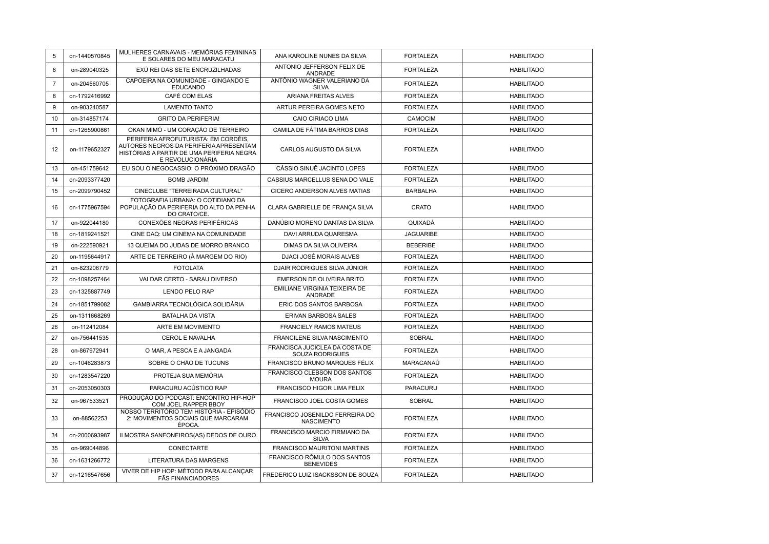| 5              | on-1440570845 | MULHERES CARNAVAIS - MEMÓRIAS FEMININAS<br>E SOLARES DO MEU MARACATU                                                                            | ANA KAROLINE NUNES DA SILVA                          | <b>FORTALEZA</b> | <b>HABILITADO</b> |
|----------------|---------------|-------------------------------------------------------------------------------------------------------------------------------------------------|------------------------------------------------------|------------------|-------------------|
| 6              | on-289040325  | EXÚ REI DAS SETE ENCRUZILHADAS                                                                                                                  | ANTONIO JEFFERSON FELIX DE<br><b>ANDRADE</b>         | <b>FORTALEZA</b> | <b>HABILITADO</b> |
| $\overline{7}$ | on-204560705  | CAPOEIRA NA COMUNIDADE - GINGANDO E<br><b>EDUCANDO</b>                                                                                          | ANTÔNIO WAGNER VALERIANO DA<br><b>SILVA</b>          | <b>FORTALEZA</b> | <b>HABILITADO</b> |
| 8              | on-1792416992 | CAFÉ COM ELAS                                                                                                                                   | ARIANA FREITAS ALVES                                 | <b>FORTALEZA</b> | <b>HABILITADO</b> |
| 9              | on-903240587  | <b>LAMENTO TANTO</b>                                                                                                                            | ARTUR PEREIRA GOMES NETO                             | <b>FORTALEZA</b> | <b>HABILITADO</b> |
| 10             | on-314857174  | <b>GRITO DA PERIFERIA!</b>                                                                                                                      | CAIO CIRIACO LIMA                                    | CAMOCIM          | <b>HABILITADO</b> |
| 11             | on-1265900861 | OKAN MIMÓ - UM CORAÇÃO DE TERREIRO                                                                                                              | CAMILA DE FÁTIMA BARROS DIAS                         | <b>FORTALEZA</b> | <b>HABILITADO</b> |
| 12             | on-1179652327 | PERIFERIA AFROFUTURISTA: EM CORDÉIS,<br>AUTORES NEGROS DA PERIFERIA APRESENTAM<br>HISTÓRIAS A PARTIR DE UMA PERIFERIA NEGRA<br>E REVOLUCIONÁRIA | CARLOS AUGUSTO DA SILVA                              | <b>FORTALEZA</b> | <b>HABILITADO</b> |
| 13             | on-451759642  | EU SOU O NEGOCASSIO: O PRÓXIMO DRAGÃO                                                                                                           | CÁSSIO SINUÊ JACINTO LOPES                           | <b>FORTALEZA</b> | <b>HABILITADO</b> |
| 14             | on-2093377420 | <b>BOMB JARDIM</b>                                                                                                                              | CASSIUS MARCELLUS SENA DO VALE                       | <b>FORTALEZA</b> | <b>HABILITADO</b> |
| 15             | on-2099790452 | CINECLUBE "TERREIRADA CULTURAL"                                                                                                                 | CICERO ANDERSON ALVES MATIAS                         | <b>BARBALHA</b>  | <b>HABILITADO</b> |
| 16             | on-1775967594 | FOTOGRAFIA URBANA: O COTIDIANO DA<br>POPULAÇÃO DA PERIFERIA DO ALTO DA PENHA<br>DO CRATO/CE.                                                    | CLARA GABRIELLE DE FRANÇA SILVA                      | CRATO            | <b>HABILITADO</b> |
| 17             | on-922044180  | CONEXÕES NEGRAS PERIFÉRICAS                                                                                                                     | DANÚBIO MORENO DANTAS DA SILVA                       | QUIXADÁ          | <b>HABILITADO</b> |
| 18             | on-1819241521 | CINE DAQ: UM CINEMA NA COMUNIDADE                                                                                                               | DAVI ARRUDA QUARESMA                                 | <b>JAGUARIBE</b> | <b>HABILITADO</b> |
| 19             | on-222590921  | 13 QUEIMA DO JUDAS DE MORRO BRANCO                                                                                                              | DIMAS DA SILVA OLIVEIRA                              | <b>BEBERIBE</b>  | <b>HABILITADO</b> |
| 20             | on-1195644917 | ARTE DE TERREIRO (À MARGEM DO RIO)                                                                                                              | DJACI JOSÉ MORAIS ALVES                              | <b>FORTALEZA</b> | <b>HABILITADO</b> |
| 21             | on-823206779  | <b>FOTOLATA</b>                                                                                                                                 | DJAIR RODRIGUES SILVA JÚNIOR                         | <b>FORTALEZA</b> | <b>HABILITADO</b> |
| 22             | on-1098257464 | VAI DAR CERTO - SARAU DIVERSO                                                                                                                   | EMERSON DE OLIVEIRA BRITO                            | <b>FORTALEZA</b> | <b>HABILITADO</b> |
| 23             | on-1325887749 | LENDO PELO RAP                                                                                                                                  | EMILIANE VIRGINIA TEIXEIRA DE<br><b>ANDRADE</b>      | <b>FORTALEZA</b> | <b>HABILITADO</b> |
| 24             | on-1851799082 | GAMBIARRA TECNOLÓGICA SOLIDÁRIA                                                                                                                 | ERIC DOS SANTOS BARBOSA                              | <b>FORTALEZA</b> | <b>HABILITADO</b> |
| 25             | on-1311668269 | <b>BATALHA DA VISTA</b>                                                                                                                         | ERIVAN BARBOSA SALES                                 | <b>FORTALEZA</b> | <b>HABILITADO</b> |
| 26             | on-112412084  | ARTE EM MOVIMENTO                                                                                                                               | <b>FRANCIELY RAMOS MATEUS</b>                        | <b>FORTALEZA</b> | <b>HABILITADO</b> |
| 27             | on-756441535  | CEROL E NAVALHA                                                                                                                                 | FRANCILENE SILVA NASCIMENTO                          | SOBRAL           | <b>HABILITADO</b> |
| 28             | on-867972941  | O MAR, A PESCA E A JANGADA                                                                                                                      | FRANCISCA JUCICLEA DA COSTA DE<br>SOUZA RODRIGUES    | <b>FORTALEZA</b> | <b>HABILITADO</b> |
| 29             | on-1046283873 | SOBRE O CHÃO DE TUCUNS                                                                                                                          | <b>FRANCISCO BRUNO MARQUES FÉLIX</b>                 | MARACANAÚ        | <b>HABILITADO</b> |
| 30             | on-1283547220 | PROTEJA SUA MEMÓRIA                                                                                                                             | FRANCISCO CLEBSON DOS SANTOS<br><b>MOURA</b>         | <b>FORTALEZA</b> | <b>HABILITADO</b> |
| 31             | on-2053050303 | PARACURU ACÚSTICO RAP                                                                                                                           | FRANCISCO HIGOR LIMA FELIX                           | PARACURU         | <b>HABILITADO</b> |
| 32             | on-967533521  | PRODUÇÃO DO PODCAST: ENCONTRO HIP-HOP<br>COM JOEL RAPPER BBOY                                                                                   | FRANCISCO JOEL COSTA GOMES                           | <b>SOBRAL</b>    | <b>HABILITADO</b> |
| 33             | on-88562253   | NOSSO TERRITÓRIO TEM HISTÓRIA - EPISÓDIO<br>2: MOVIMENTOS SOCIAIS QUE MARCARAM<br>ÉPOCA.                                                        | FRANCISCO JOSENILDO FERREIRA DO<br><b>NASCIMENTO</b> | <b>FORTALEZA</b> | <b>HABILITADO</b> |
| 34             | on-2000693987 | II MOSTRA SANFONEIROS(AS) DEDOS DE OURO.                                                                                                        | FRANCISCO MARCIO FIRMIANO DA<br><b>SILVA</b>         | <b>FORTALEZA</b> | <b>HABILITADO</b> |
| 35             | on-969044896  | CONECTARTE                                                                                                                                      | FRANCISCO MAURITONI MARTINS                          | <b>FORTALEZA</b> | <b>HABILITADO</b> |
| 36             | on-1631266772 | LITERATURA DAS MARGENS                                                                                                                          | FRANCISCO RÔMULO DOS SANTOS<br><b>BENEVIDES</b>      | <b>FORTALEZA</b> | <b>HABILITADO</b> |
| 37             | on-1216547656 | VIVER DE HIP HOP: MÉTODO PARA ALCANCAR<br>FÃS FINANCIADORES                                                                                     | FREDERICO LUIZ ISACKSSON DE SOUZA                    | <b>FORTALEZA</b> | <b>HABILITADO</b> |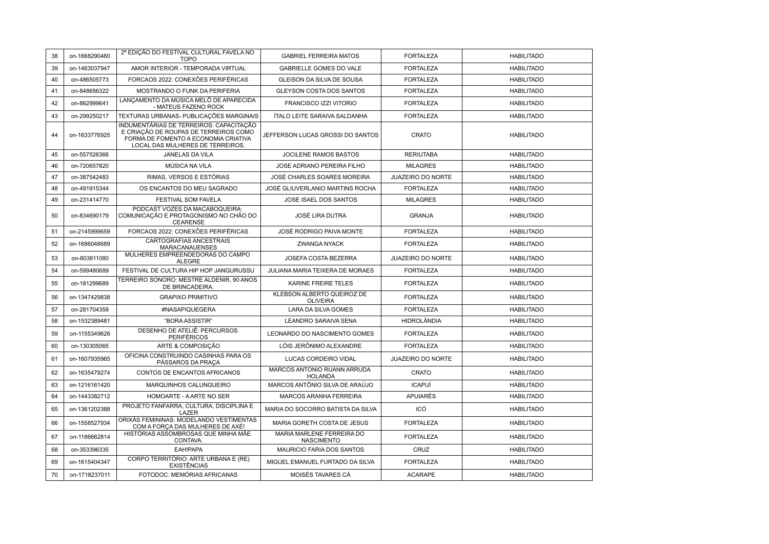| 38 | on-1668290460 | 2ª EDIÇÃO DO FESTIVAL CULTURAL FAVELA NO<br><b>TOPO</b>                                                                                                      | <b>GABRIEL FERREIRA MATOS</b>                  | <b>FORTALEZA</b>         | <b>HABILITADO</b> |
|----|---------------|--------------------------------------------------------------------------------------------------------------------------------------------------------------|------------------------------------------------|--------------------------|-------------------|
| 39 | on-1463037947 | AMOR INTERIOR - TEMPORADA VIRTUAL                                                                                                                            | <b>GABRIELLE GOMES DO VALE</b>                 | <b>FORTALEZA</b>         | <b>HABILITADO</b> |
| 40 | on-486505773  | FORCAOS 2022: CONEXÕES PERIFÉRICAS                                                                                                                           | GLEISON DA SILVA DE SOUSA                      | <b>FORTALEZA</b>         | <b>HABILITADO</b> |
| 41 | on-848656322  | MOSTRANDO O FUNK DA PERIFERIA                                                                                                                                | GLEYSON COSTA DOS SANTOS                       | <b>FORTALEZA</b>         | <b>HABILITADO</b> |
| 42 | on-862999641  | LANCAMENTO DA MÚSICA MELÔ DE APARECIDA<br>- MATEUS FAZENO ROCK                                                                                               | <b>FRANCISCO IZZI VITORIO</b>                  | <b>FORTALEZA</b>         | <b>HABILITADO</b> |
| 43 | on-299250217  | TEXTURAS URBANAS- PUBLICAÇÕES MARGINAIS                                                                                                                      | ÍTALO LEITE SARAIVA SALDANHA                   | <b>FORTALEZA</b>         | <b>HABILITADO</b> |
| 44 | on-1633776925 | INDUMENTÁRIAS DE TERREIROS: CAPACITAÇÃO<br>E CRIAÇÃO DE ROUPAS DE TERREIROS COMO<br>FORMA DE FOMENTO A ECONOMIA CRIATIVA<br>LOCAL DAS MULHERES DE TERREIROS. | JEFFERSON LUCAS GROSSI DO SANTOS               | <b>CRATO</b>             | <b>HABILITADO</b> |
| 45 | on-557526366  | JANELAS DA VILA                                                                                                                                              | JOCILENE RAMOS BASTOS                          | <b>RERIUTABA</b>         | <b>HABILITADO</b> |
| 46 | on-720657820  | MÚSICA NA VILA                                                                                                                                               | JOSE ADRIANO PEREIRA FILHO                     | <b>MILAGRES</b>          | <b>HABILITADO</b> |
| 47 | on-387542483  | RIMAS, VERSOS E ESTÓRIAS                                                                                                                                     | JOSÉ CHARLES SOARES MOREIRA                    | <b>JUAZEIRO DO NORTE</b> | <b>HABILITADO</b> |
| 48 | on-491915344  | OS ENCANTOS DO MEU SAGRADO                                                                                                                                   | JOSÉ GLIUVERLANIO MARTINS ROCHA                | <b>FORTALEZA</b>         | <b>HABILITADO</b> |
| 49 | on-231414770  | FESTIVAL SOM FAVELA                                                                                                                                          | JOSE ISAEL DOS SANTOS                          | <b>MILAGRES</b>          | <b>HABILITADO</b> |
| 50 | on-834690179  | PODCAST VOZES DA MACABOQUEIRA:<br>COMUNICAÇÃO E PROTAGONISMO NO CHÃO DO<br><b>CEARENSE</b>                                                                   | JOSÉ LIRA DUTRA                                | <b>GRANJA</b>            | <b>HABILITADO</b> |
| 51 | on-2145999659 | FORCAOS 2022: CONEXÕES PERIFÉRICAS                                                                                                                           | JOSÉ RODRIGO PAIVA MONTE                       | <b>FORTALEZA</b>         | <b>HABILITADO</b> |
| 52 | on-1686048689 | CARTOGRAFIAS ANCESTRAIS<br><b>MARACANAUENSES</b>                                                                                                             | ZWANGA NYACK                                   | <b>FORTALEZA</b>         | <b>HABILITADO</b> |
| 53 | on-803811080  | MULHERES EMPREENDEDORAS DO CAMPO<br><b>ALEGRE</b>                                                                                                            | JOSEFA COSTA BEZERRA                           | <b>JUAZEIRO DO NORTE</b> | <b>HABILITADO</b> |
| 54 | on-599480689  | FESTIVAL DE CULTURA HIP HOP JANGURUSSU                                                                                                                       | JULIANA MARIA TEIXERA DE MORAES                | <b>FORTALEZA</b>         | <b>HABILITADO</b> |
| 55 | on-181299689  | TERREIRO SONORO: MESTRE ALDENIR, 90 ANOS<br>DE BRINCADEIRA.                                                                                                  | KARINE FREIRE TELES                            | <b>FORTALEZA</b>         | <b>HABILITADO</b> |
| 56 | on-1347429838 | <b>GRAPIXO PRIMITIVO</b>                                                                                                                                     | KLEBSON ALBERTO QUEIROZ DE<br><b>OLIVEIRA</b>  | <b>FORTALEZA</b>         | <b>HABILITADO</b> |
| 57 | on-281704358  | #NASAPIQUEGERA                                                                                                                                               | LARA DA SILVA GOMES                            | <b>FORTALEZA</b>         | <b>HABILITADO</b> |
| 58 | on-1532389481 | "BORA ASSISTIR"                                                                                                                                              | LEANDRO SARAIVA SENA                           | <b>HIDROLÂNDIA</b>       | <b>HABILITADO</b> |
| 59 | on-1155349626 | DESENHO DE ATELIÊ: PERCURSOS<br><b>PERIFÉRICOS</b>                                                                                                           | LEONARDO DO NASCIMENTO GOMES                   | <b>FORTALEZA</b>         | <b>HABILITADO</b> |
| 60 | on-130305065  | ARTE & COMPOSIÇÃO                                                                                                                                            | LÓIS JERÔNIMO ALEXANDRE                        | <b>FORTALEZA</b>         | <b>HABILITADO</b> |
| 61 | on-1607935965 | OFICINA CONSTRUINDO CASINHAS PARA OS<br>PÁSSAROS DA PRAÇA                                                                                                    | LUCAS CORDEIRO VIDAL                           | JUAZEIRO DO NORTE        | <b>HABILITADO</b> |
| 62 | on-1635479274 | CONTOS DE ENCANTOS AFRICANOS                                                                                                                                 | MARCOS ANTONIO RUANN ARRUDA<br><b>HOLANDA</b>  | CRATO                    | <b>HABILITADO</b> |
| 63 | on-1216161420 | MARQUINHOS CALUNGUEIRO                                                                                                                                       | MARCOS ANTÔNIO SILVA DE ARAÚJO                 | <b>ICAPUÍ</b>            | <b>HABILITADO</b> |
| 64 | on-1443382712 | HOMOARTE - A ARTE NO SER                                                                                                                                     | MARCOS ARANHA FERREIRA                         | <b>APUIARÉS</b>          | <b>HABILITADO</b> |
| 65 | on-1361202388 | PROJETO FANFARRA, CULTURA, DISCIPLINA E<br>LAZER                                                                                                             | MARIA DO SOCORRO BATISTA DA SILVA              | ICÓ                      | <b>HABILITADO</b> |
| 66 | on-1558527934 | ORIXÁS FEMININAS: MODELANDO VESTIMENTAS<br>COM A FORÇA DAS MULHERES DE AXÉ!                                                                                  | MARIA GORETH COSTA DE JESUS                    | <b>FORTALEZA</b>         | <b>HABILITADO</b> |
| 67 | on-1186662814 | HISTÓRIAS ASSOMBROSAS QUE MINHA MÃE<br>CONTAVA.                                                                                                              | MARIA MARLENE FERREIRA DO<br><b>NASCIMENTO</b> | <b>FORTALEZA</b>         | <b>HABILITADO</b> |
| 68 | on-353396335  | EAH!PAPA                                                                                                                                                     | MAURICIO FARIA DOS SANTOS                      | CRUZ                     | <b>HABILITADO</b> |
| 69 | on-1615404347 | CORPO TERRITÓRIO: ARTE URBANA E (RE)<br><b>EXISTÊNCIAS</b>                                                                                                   | MIGUEL EMANUEL FURTADO DA SILVA                | <b>FORTALEZA</b>         | <b>HABILITADO</b> |
| 70 | on-1718237011 | FOTODOC: MEMÓRIAS AFRICANAS                                                                                                                                  | MOISÉS TAVARES CÁ                              | <b>ACARAPE</b>           | <b>HABILITADO</b> |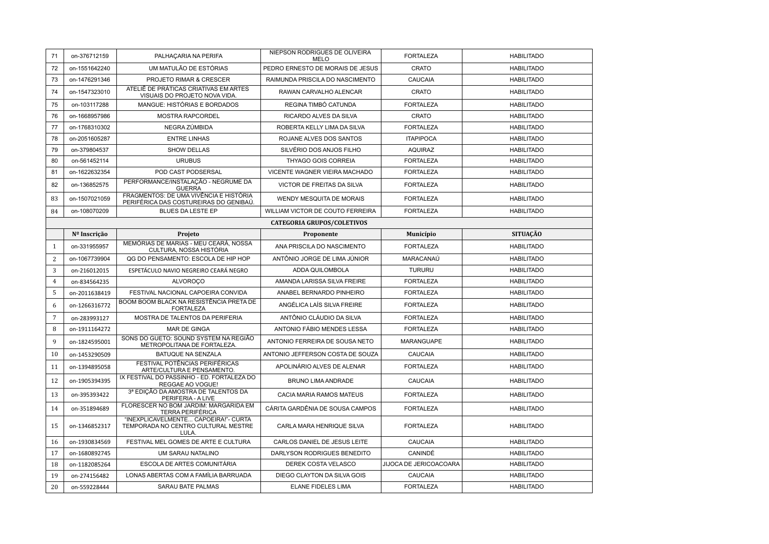| 71              | on-376712159                      | PALHAÇARIA NA PERIFA                                                                 | NIEPSON RODRIGUES DE OLIVEIRA<br>MELO | <b>FORTALEZA</b>       | <b>HABILITADO</b> |  |  |  |
|-----------------|-----------------------------------|--------------------------------------------------------------------------------------|---------------------------------------|------------------------|-------------------|--|--|--|
| 72              | on-1551642240                     | UM MATULÃO DE ESTÓRIAS                                                               | PEDRO ERNESTO DE MORAIS DE JESUS      | CRATO                  | <b>HABILITADO</b> |  |  |  |
| 73              | on-1476291346                     | PROJETO RIMAR & CRESCER                                                              | RAIMUNDA PRISCILA DO NASCIMENTO       | CAUCAIA                | <b>HABILITADO</b> |  |  |  |
| 74              | on-1547323010                     | ATELIÊ DE PRÁTICAS CRIATIVAS EM ARTES<br>VISUAIS DO PROJETO NOVA VIDA.               | RAWAN CARVALHO ALENCAR                | CRATO                  | <b>HABILITADO</b> |  |  |  |
| 75              | on-103117288                      | MANGUE: HISTÓRIAS E BORDADOS                                                         | REGINA TIMBÓ CATUNDA                  | <b>FORTALEZA</b>       | <b>HABILITADO</b> |  |  |  |
| 76              | on-1668957986                     | <b>MOSTRA RAPCORDEL</b>                                                              | RICARDO ALVES DA SILVA                | CRATO                  | <b>HABILITADO</b> |  |  |  |
| 77              | on-1768310302                     | NEGRA ZÚMBIDA                                                                        | ROBERTA KELLY LIMA DA SILVA           | <b>FORTALEZA</b>       | <b>HABILITADO</b> |  |  |  |
| 78              | on-2051605287                     | <b>ENTRE LINHAS</b>                                                                  | ROJANE ALVES DOS SANTOS               | <b>ITAPIPOCA</b>       | <b>HABILITADO</b> |  |  |  |
| 79              | on-379804537                      | <b>SHOW DELLAS</b>                                                                   | SILVÉRIO DOS ANJOS FILHO              | <b>AQUIRAZ</b>         | <b>HABILITADO</b> |  |  |  |
| 80              | on-561452114                      | <b>URUBUS</b>                                                                        | THYAGO GOIS CORREIA                   | <b>FORTALEZA</b>       | <b>HABILITADO</b> |  |  |  |
| 81              | on-1622632354                     | POD CAST PODSERSAL                                                                   | VICENTE WAGNER VIEIRA MACHADO         | <b>FORTALEZA</b>       | <b>HABILITADO</b> |  |  |  |
| 82              | on-136852575                      | PERFORMANCE/INSTALAÇÃO - NEGRUME DA<br><b>GUERRA</b>                                 | VICTOR DE FREITAS DA SILVA            | <b>FORTALEZA</b>       | <b>HABILITADO</b> |  |  |  |
| 83              | on-1507021059                     | FRAGMENTOS: DE UMA VIVÊNCIA E HISTÓRIA<br>PERIFÉRICA DAS COSTUREIRAS DO GENIBAÚ.     | WENDY MESQUITA DE MORAIS              | <b>FORTALEZA</b>       | <b>HABILITADO</b> |  |  |  |
| 84              | on-108070209                      | <b>BLUES DA LESTE EP</b>                                                             | WILLIAM VICTOR DE COUTO FERREIRA      | <b>FORTALEZA</b>       | <b>HABILITADO</b> |  |  |  |
|                 | <b>CATEGORIA GRUPOS/COLETIVOS</b> |                                                                                      |                                       |                        |                   |  |  |  |
|                 | Nº Inscrição                      | Projeto                                                                              | Proponente                            | Município              | <b>SITUAÇÃO</b>   |  |  |  |
| $\mathbf{1}$    | on-331955957                      | MEMÓRIAS DE MARIAS - MEU CEARÁ, NOSSA<br>CULTURA, NOSSA HISTÓRIA                     | ANA PRISCILA DO NASCIMENTO            | <b>FORTALEZA</b>       | <b>HABILITADO</b> |  |  |  |
| 2               | on-1067739904                     | QG DO PENSAMENTO: ESCOLA DE HIP HOP                                                  | ANTÔNIO JORGE DE LIMA JÚNIOR          | MARACANAÚ              | <b>HABILITADO</b> |  |  |  |
| 3               | on-216012015                      | ESPETÁCULO NAVIO NEGREIRO CEARÁ NEGRO                                                | ADDA QUILOMBOLA                       | <b>TURURU</b>          | <b>HABILITADO</b> |  |  |  |
| $\overline{4}$  | on-834564235                      | <b>ALVOROÇO</b>                                                                      | AMANDA LARISSA SILVA FREIRE           | <b>FORTALEZA</b>       | <b>HABILITADO</b> |  |  |  |
| 5               | on-2011638419                     | FESTIVAL NACIONAL CAPOEIRA CONVIDA                                                   | ANABEL BERNARDO PINHEIRO              | <b>FORTALEZA</b>       | <b>HABILITADO</b> |  |  |  |
| 6               | on-1266316772                     | BOOM BOOM BLACK NA RESISTÊNCIA PRETA DE<br><b>FORTALEZA</b>                          | ANGÉLICA LAÍS SILVA FREIRE            | <b>FORTALEZA</b>       | <b>HABILITADO</b> |  |  |  |
| $7\overline{ }$ | on-283993127                      | MOSTRA DE TALENTOS DA PERIFERIA                                                      | ANTÔNIO CLÁUDIO DA SILVA              | <b>FORTALEZA</b>       | <b>HABILITADO</b> |  |  |  |
| 8               | on-1911164272                     | MAR DE GINGA                                                                         | ANTONIO FÁBIO MENDES LESSA            | <b>FORTALEZA</b>       | <b>HABILITADO</b> |  |  |  |
| 9               | on-1824595001                     | SONS DO GUETO: SOUND SYSTEM NA REGIÃO<br>METROPOLITANA DE FORTALEZA.                 | ANTONIO FERREIRA DE SOUSA NETO        | <b>MARANGUAPE</b>      | <b>HABILITADO</b> |  |  |  |
| 10              | on-1453290509                     | BATUQUE NA SENZALA                                                                   | ANTONIO JEFFERSON COSTA DE SOUZA      | CAUCAIA                | <b>HABILITADO</b> |  |  |  |
| 11              | on-1394895058                     | FESTIVAL POTÊNCIAS PERIFÉRICAS<br>ARTE/CULTURA E PENSAMENTO.                         | APOLINÁRIO ALVES DE ALENAR            | <b>FORTALEZA</b>       | <b>HABILITADO</b> |  |  |  |
| 12              | on-1905394395                     | IX FESTIVAL DO PASSINHO - ED. FORTALEZA DO<br>REGGAE AO VOGUE!                       | BRUNO LIMA ANDRADE                    | CAUCAIA                | <b>HABILITADO</b> |  |  |  |
| 13              | on-395393422                      | 3ª EDIÇÃO DA AMOSTRA DE TALENTOS DA<br>PERIFERIA - A LIVE                            | CACIA MARIA RAMOS MATEUS              | <b>FORTALEZA</b>       | <b>HABILITADO</b> |  |  |  |
| 14              | on-351894689                      | FLORESCER NO BOM JARDIM: MARGARIDA EM<br><b>TERRA PERIFÉRICA</b>                     | CÁRITA GARDÊNIA DE SOUSA CAMPOS       | <b>FORTALEZA</b>       | <b>HABILITADO</b> |  |  |  |
| 15              | on-1346852317                     | "INEXPLICAVELMENTE CAPOEIRA!"- CURTA<br>TEMPORADA NO CENTRO CULTURAL MESTRE<br>LULA. | CARLA MARA HENRIQUE SILVA             | <b>FORTALEZA</b>       | <b>HABILITADO</b> |  |  |  |
| 16              | on-1930834569                     | FESTIVAL MEL GOMES DE ARTE E CULTURA                                                 | CARLOS DANIEL DE JESUS LEITE          | CAUCAIA                | <b>HABILITADO</b> |  |  |  |
| 17              | on-1680892745                     | UM SARAU NATALINO                                                                    | DARLYSON RODRIGUES BENEDITO           | CANINDÉ                | <b>HABILITADO</b> |  |  |  |
| 18              | on-1182085264                     | ESCOLA DE ARTES COMUNITÁRIA                                                          | DEREK COSTA VELASCO                   | JIJOCA DE JERICOACOARA | <b>HABILITADO</b> |  |  |  |
| 19              | on-274156482                      | LONAS ABERTAS COM A FAMÍLIA BARRUADA                                                 | DIEGO CLAYTON DA SILVA GOIS           | CAUCAIA                | <b>HABILITADO</b> |  |  |  |
| 20              | on-559228444                      | SARAU BATE PALMAS                                                                    | <b>ELANE FIDELES LIMA</b>             | <b>FORTALEZA</b>       | <b>HABILITADO</b> |  |  |  |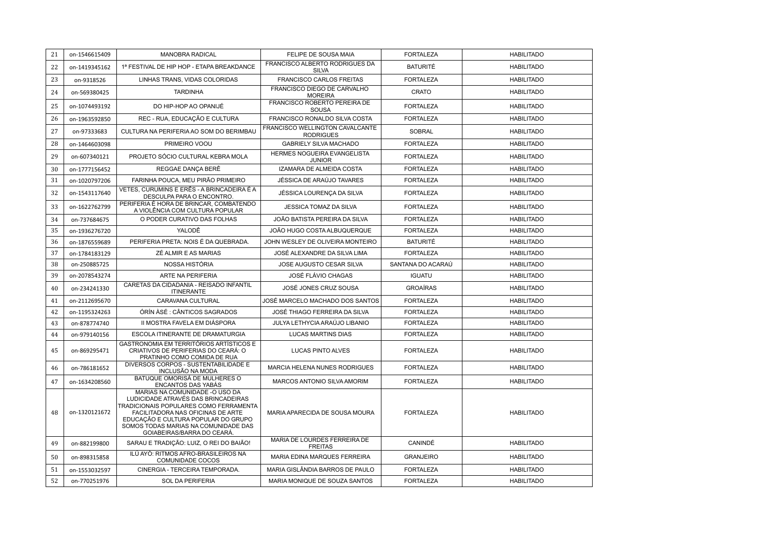| 21 | on-1546615409 | MANOBRA RADICAL                                                                                                                                                                                                                                                   | FELIPE DE SOUSA MAIA                                | <b>FORTALEZA</b>  | <b>HABILITADO</b> |
|----|---------------|-------------------------------------------------------------------------------------------------------------------------------------------------------------------------------------------------------------------------------------------------------------------|-----------------------------------------------------|-------------------|-------------------|
| 22 | on-1419345162 | 1ª FESTIVAL DE HIP HOP - ETAPA BREAKDANCE                                                                                                                                                                                                                         | FRANCISCO ALBERTO RODRIGUES DA<br><b>SILVA</b>      | <b>BATURITÉ</b>   | <b>HABILITADO</b> |
| 23 | on-9318526    | LINHAS TRANS, VIDAS COLORIDAS                                                                                                                                                                                                                                     | FRANCISCO CARLOS FREITAS                            | <b>FORTALEZA</b>  | <b>HABILITADO</b> |
| 24 | on-569380425  | <b>TARDINHA</b>                                                                                                                                                                                                                                                   | FRANCISCO DIEGO DE CARVALHO<br><b>MOREIRA</b>       | CRATO             | <b>HABILITADO</b> |
| 25 | on-1074493192 | DO HIP-HOP AO OPANIJÉ                                                                                                                                                                                                                                             | FRANCISCO ROBERTO PEREIRA DE<br><b>SOUSA</b>        | <b>FORTALEZA</b>  | <b>HABILITADO</b> |
| 26 | on-1963592850 | REC - RUA, EDUCAÇÃO E CULTURA                                                                                                                                                                                                                                     | FRANCISCO RONALDO SILVA COSTA                       | <b>FORTALEZA</b>  | <b>HABILITADO</b> |
| 27 | on-97333683   | CULTURA NA PERIFERIA AO SOM DO BERIMBAU                                                                                                                                                                                                                           | FRANCISCO WELLINGTON CAVALCANTE<br><b>RODRIGUES</b> | <b>SOBRAL</b>     | <b>HABILITADO</b> |
| 28 | on-1464603098 | PRIMEIRO VOOU                                                                                                                                                                                                                                                     | <b>GABRIELY SILVA MACHADO</b>                       | <b>FORTALEZA</b>  | <b>HABILITADO</b> |
| 29 | on-607340121  | PROJETO SÓCIO CULTURAL KEBRA MOLA                                                                                                                                                                                                                                 | HERMES NOGUEIRA EVANGELISTA<br><b>JUNIOR</b>        | <b>FORTALEZA</b>  | <b>HABILITADO</b> |
| 30 | on-1777156452 | REGGAE DANCA BERÊ                                                                                                                                                                                                                                                 | IZAMARA DE ALMEIDA COSTA                            | <b>FORTALEZA</b>  | <b>HABILITADO</b> |
| 31 | on-1020797206 | FARINHA POUCA, MEU PIRÃO PRIMEIRO                                                                                                                                                                                                                                 | JÉSSICA DE ARAÚJO TAVARES                           | <b>FORTALEZA</b>  | <b>HABILITADO</b> |
| 32 | on-1543117640 | VETES. CURUMINS E ERÊS - A BRINCADEIRA É A<br>DESCULPA PARA O ENCONTRO.                                                                                                                                                                                           | JÉSSICA LOURENÇA DA SILVA                           | <b>FORTALEZA</b>  | <b>HABILITADO</b> |
| 33 | on-1622762799 | PERIFERIA É HORA DE BRINCAR, COMBATENDO<br>A VIOLÊNCIA COM CULTURA POPULAR                                                                                                                                                                                        | <b>JESSICA TOMAZ DA SILVA</b>                       | <b>FORTALEZA</b>  | <b>HABILITADO</b> |
| 34 | on-737684675  | O PODER CURATIVO DAS FOLHAS                                                                                                                                                                                                                                       | JOÃO BATISTA PEREIRA DA SILVA                       | <b>FORTALEZA</b>  | <b>HABILITADO</b> |
| 35 | on-1936276720 | YALODÊ                                                                                                                                                                                                                                                            | JOÃO HUGO COSTA ALBUQUERQUE                         | <b>FORTALEZA</b>  | <b>HABILITADO</b> |
| 36 | on-1876559689 | PERIFERIA PRETA: NOIS É DA QUEBRADA.                                                                                                                                                                                                                              | JOHN WESLEY DE OLIVEIRA MONTEIRO                    | <b>BATURITÉ</b>   | <b>HABILITADO</b> |
| 37 | on-1784183129 | ZÉ ALMIR E AS MARIAS                                                                                                                                                                                                                                              | JOSÉ ALEXANDRE DA SILVA LIMA                        | <b>FORTALEZA</b>  | <b>HABILITADO</b> |
| 38 | on-250885725  | NOSSA HISTÓRIA                                                                                                                                                                                                                                                    | JOSE AUGUSTO CESAR SILVA                            | SANTANA DO ACARAÚ | <b>HABILITADO</b> |
| 39 | on-2078543274 | ARTE NA PERIFERIA                                                                                                                                                                                                                                                 | JOSÉ FLÁVIO CHAGAS                                  | <b>IGUATU</b>     | <b>HABILITADO</b> |
| 40 | on-234241330  | CARETAS DA CIDADANIA - REISADO INFANTIL<br><b>ITINERANTE</b>                                                                                                                                                                                                      | JOSÉ JONES CRUZ SOUSA                               | <b>GROAÍRAS</b>   | <b>HABILITADO</b> |
| 41 | on-2112695670 | CARAVANA CULTURAL                                                                                                                                                                                                                                                 | JOSÉ MARCELO MACHADO DOS SANTOS                     | <b>FORTALEZA</b>  | <b>HABILITADO</b> |
| 42 | on-1195324263 | ÓRÍN ÀSÉ : CÂNTICOS SAGRADOS                                                                                                                                                                                                                                      | JOSÉ THIAGO FERREIRA DA SILVA                       | <b>FORTALEZA</b>  | <b>HABILITADO</b> |
| 43 | on-878774740  | II MOSTRA FAVELA EM DIÁSPORA                                                                                                                                                                                                                                      | JULYA LETHYCIA ARAÚJO LIBANIO                       | <b>FORTALEZA</b>  | <b>HABILITADO</b> |
| 44 | on-979140156  | ESCOLA ITINERANTE DE DRAMATURGIA                                                                                                                                                                                                                                  | <b>LUCAS MARTINS DIAS</b>                           | <b>FORTALEZA</b>  | <b>HABILITADO</b> |
| 45 | on-869295471  | GASTRONOMIA EM TERRITÓRIOS ARTÍSTICOS E<br>CRIATIVOS DE PERIFERIAS DO CEARÁ: O<br>PRATINHO COMO COMIDA DE RUA                                                                                                                                                     | <b>LUCAS PINTO ALVES</b>                            | <b>FORTALEZA</b>  | <b>HABILITADO</b> |
| 46 | on-786181652  | DIVERSOS CORPOS - SUSTENTABILIDADE E<br>INCLUSÃO NA MODA                                                                                                                                                                                                          | MARCIA HELENA NUNES RODRIGUES                       | <b>FORTALEZA</b>  | <b>HABILITADO</b> |
| 47 | on-1634208560 | BATUQUE OMORISÁ DE MULHERES O<br>ENCANTOS DAS YABÁS                                                                                                                                                                                                               | MARCOS ANTONIO SILVA AMORIM                         | <b>FORTALEZA</b>  | <b>HABILITADO</b> |
| 48 | on-1320121672 | MARIAS NA COMUNIDADE -O USO DA<br>LUDICIDADE ATRAVÉS DAS BRINCADEIRAS<br>TRADICIONAIS POPULARES COMO FERRAMENTA<br>FACILITADORA NAS OFICINAS DE ARTE<br>EDUCAÇÃO E CULTURA POPULAR DO GRUPO<br>SOMOS TODAS MARIAS NA COMUNIDADE DAS<br>GOIABEIRAS/BARRA DO CEARÁ. | MARIA APARECIDA DE SOUSA MOURA                      | <b>FORTALEZA</b>  | <b>HABILITADO</b> |
| 49 | on-882199800  | SARAU E TRADIÇÃO: LUIZ, O REI DO BAIÃO!                                                                                                                                                                                                                           | MARIA DE LOURDES FERREIRA DE<br><b>FREITAS</b>      | CANINDÉ           | <b>HABILITADO</b> |
| 50 | on-898315858  | ILÚ AYO: RITMOS AFRO-BRASILEIROS NA<br>COMUNIDADE COCOS                                                                                                                                                                                                           | MARIA EDINA MARQUES FERREIRA                        | <b>GRANJEIRO</b>  | <b>HABILITADO</b> |
| 51 | on-1553032597 | CINERGIA - TERCEIRA TEMPORADA.                                                                                                                                                                                                                                    | MARIA GISLÂNDIA BARROS DE PAULO                     | <b>FORTALEZA</b>  | <b>HABILITADO</b> |
| 52 | on-770251976  | SOL DA PERIFERIA                                                                                                                                                                                                                                                  | MARIA MONIQUE DE SOUZA SANTOS                       | <b>FORTALEZA</b>  | <b>HABILITADO</b> |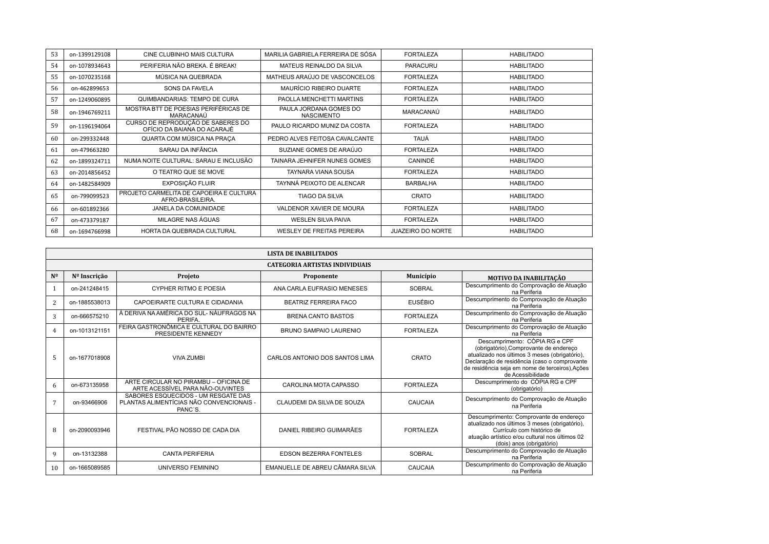| 53 | on-1399129108 | CINE CLUBINHO MAIS CULTURA                                       | MARILIA GABRIELA FERREIRA DE SÓSA           | <b>FORTALEZA</b>         | <b>HABILITADO</b> |
|----|---------------|------------------------------------------------------------------|---------------------------------------------|--------------------------|-------------------|
| 54 | on-1078934643 | PERIFERIA NÃO BREKA. É BREAK!                                    | MATEUS REINALDO DA SILVA                    | <b>PARACURU</b>          | <b>HABILITADO</b> |
| 55 | on-1070235168 | MÚSICA NA QUEBRADA                                               | MATHEUS ARAÚJO DE VASCONCELOS               | <b>FORTALEZA</b>         | <b>HABILITADO</b> |
| 56 | on-462899653  | SONS DA FAVELA                                                   | MAURÍCIO RIBEIRO DUARTE                     | <b>FORTALEZA</b>         | <b>HABILITADO</b> |
| 57 | on-1249060895 | QUIMBANDARIAS: TEMPO DE CURA                                     | PAOLLA MENCHETTI MARTINS                    | <b>FORTALEZA</b>         | <b>HABILITADO</b> |
| 58 | on-1946769211 | MOSTRA BTT DE POESIAS PERIFÉRICAS DE<br>MARACANAÚ                | PAULA JORDANA GOMES DO<br><b>NASCIMENTO</b> | MARACANAÚ                | <b>HABILITADO</b> |
| 59 | on-1196194064 | CURSO DE REPRODUÇÃO DE SABERES DO<br>OFÍCIO DA BAIANA DO ACARAJÉ | PAULO RICARDO MUNIZ DA COSTA                | <b>FORTALEZA</b>         | <b>HABILITADO</b> |
| 60 | on-299332448  | QUARTA COM MÚSICA NA PRACA                                       | PEDRO ALVES FEITOSA CAVALCANTE              | TAUÁ                     | <b>HABILITADO</b> |
| 61 | on-479663280  | SARAU DA INFÂNCIA                                                | SUZIANE GOMES DE ARAÚJO                     | <b>FORTALEZA</b>         | <b>HABILITADO</b> |
| 62 | on-1899324711 | NUMA NOITE CULTURAL: SARAU E INCLUSÃO                            | TAINARA JEHNIFER NUNES GOMES                | CANINDÉ                  | <b>HABILITADO</b> |
| 63 | on-2014856452 | O TEATRO QUE SE MOVE                                             | TAYNARA VIANA SOUSA                         | <b>FORTALEZA</b>         | <b>HABILITADO</b> |
| 64 | on-1482584909 | EXPOSIÇÃO FLUIR                                                  | TAYNNÁ PEIXOTO DE ALENCAR                   | <b>BARBALHA</b>          | <b>HABILITADO</b> |
| 65 | on-799099523  | PROJETO CARMELITA DE CAPOEIRA E CULTURA<br>AFRO-BRASILEIRA.      | <b>TIAGO DA SILVA</b>                       | CRATO                    | <b>HABILITADO</b> |
| 66 | on-601892366  | JANELA DA COMUNIDADE                                             | VALDENOR XAVIER DE MOURA                    | <b>FORTALEZA</b>         | <b>HABILITADO</b> |
| 67 | on-473379187  | MILAGRE NAS ÁGUAS                                                | <b>WESLEN SILVA PAIVA</b>                   | <b>FORTALEZA</b>         | <b>HABILITADO</b> |
| 68 | on-1694766998 | HORTA DA QUEBRADA CULTURAL                                       | <b>WESLEY DE FREITAS PEREIRA</b>            | <b>JUAZEIRO DO NORTE</b> | <b>HABILITADO</b> |

|                | <b>LISTA DE INABILITADOS</b>          |                                                                                            |                                 |                  |                                                                                                                                                                                                                                                   |  |  |
|----------------|---------------------------------------|--------------------------------------------------------------------------------------------|---------------------------------|------------------|---------------------------------------------------------------------------------------------------------------------------------------------------------------------------------------------------------------------------------------------------|--|--|
|                | <b>CATEGORIA ARTISTAS INDIVIDUAIS</b> |                                                                                            |                                 |                  |                                                                                                                                                                                                                                                   |  |  |
| $N^{\Omega}$   | Nº Inscrição                          | Projeto                                                                                    | Proponente                      | Município        | <b>MOTIVO DA INABILITAÇÃO</b>                                                                                                                                                                                                                     |  |  |
|                | on-241248415                          | CYPHER RITMO E POESIA                                                                      | ANA CARLA EUFRASIO MENESES      | <b>SOBRAL</b>    | Descumprimento do Comprovação de Atuação<br>na Periferia                                                                                                                                                                                          |  |  |
| 2              | on-1885538013                         | CAPOEIRARTE CULTURA E CIDADANIA                                                            | <b>BEATRIZ FERREIRA FACO</b>    | <b>EUSÉBIO</b>   | Descumprimento do Comprovação de Atuação<br>na Periferia                                                                                                                                                                                          |  |  |
| 3              | on-666575210                          | À DERIVA NA AMÉRICA DO SUL-NÁUFRAGOS NA<br>PERIFA.                                         | <b>BRENA CANTO BASTOS</b>       | <b>FORTALEZA</b> | Descumprimento do Comprovação de Atuação<br>na Periferia                                                                                                                                                                                          |  |  |
| $\overline{4}$ | on-1013121151                         | FEIRA GASTRONÔMICA E CULTURAL DO BAIRRO<br>PRESIDENTE KENNEDY                              | BRUNO SAMPAIO LAURENIO          | <b>FORTALEZA</b> | Descumprimento do Comprovação de Atuação<br>na Periferia                                                                                                                                                                                          |  |  |
| 5              | on-1677018908                         | <b>VIVA ZUMBI</b>                                                                          | CARLOS ANTONIO DOS SANTOS LIMA  | CRATO            | Descumprimento: CÒPIA RG e CPF<br>(obrigatório), Comprovante de endereço<br>atualizado nos últimos 3 meses (obrigatório),<br>Declaração de residência (caso o comprovante<br>de residência seja em nome de terceiros), Ações<br>de Acessibilidade |  |  |
| 6              | on-673135958                          | ARTE CIRCULAR NO PIRAMBU - OFICINA DE<br>ARTE ACESSÍVEL PARA NÃO-OUVINTES                  | CAROLINA MOTA CAPASSO           | <b>FORTALEZA</b> | Descumprimento do CÒPIA RG e CPF<br>(obrigatório)                                                                                                                                                                                                 |  |  |
|                | on-93466906                           | SABORES ESQUECIDOS - UM RESGATE DAS<br>PLANTAS ALIMENTÍCIAS NÃO CONVENCIONAIS -<br>PANC'S. | CLAUDEMI DA SILVA DE SOUZA      | CAUCAIA          | Descumprimento do Comprovação de Atuação<br>na Periferia                                                                                                                                                                                          |  |  |
| 8              | on-2090093946                         | FESTIVAL PÃO NOSSO DE CADA DIA                                                             | DANIEL RIBEIRO GUIMARÃES        | <b>FORTALEZA</b> | Descumprimento: Comprovante de endereço<br>atualizado nos últimos 3 meses (obrigatório),<br>Currículo com histórico de<br>atuação artístico e/ou cultural nos últimos 02<br>(dois) anos (obrigatório)                                             |  |  |
| 9              | on-13132388                           | <b>CANTA PERIFERIA</b>                                                                     | <b>EDSON BEZERRA FONTELES</b>   | <b>SOBRAL</b>    | Descumprimento do Comprovação de Atuação<br>na Periferia                                                                                                                                                                                          |  |  |
| 10             | on-1665089585                         | UNIVERSO FEMININO                                                                          | EMANUELLE DE ABREU CÂMARA SILVA | CAUCAIA          | Descumprimento do Comprovação de Atuação<br>na Periferia                                                                                                                                                                                          |  |  |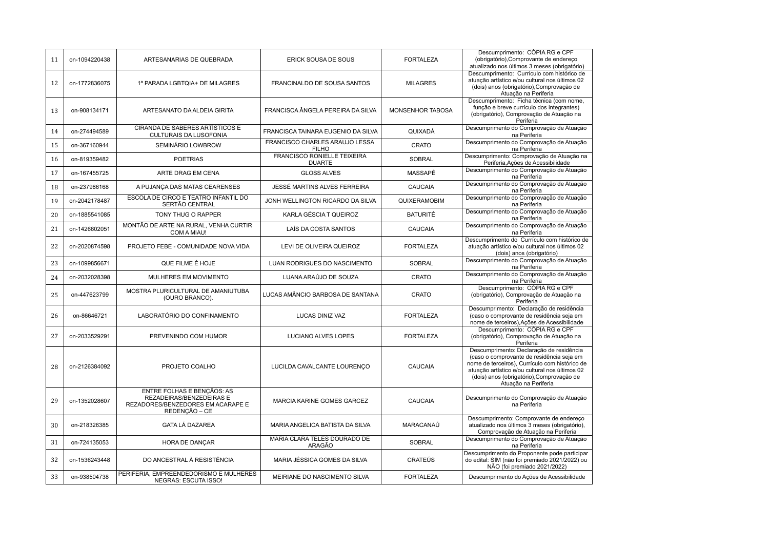| 11 | on-1094220438 | ARTESANARIAS DE QUEBRADA                                                                                     | ERICK SOUSA DE SOUS                                 | <b>FORTALEZA</b> | Descumprimento: CÒPIA RG e CPF<br>(obrigatório), Comprovante de endereço<br>atualizado nos últimos 3 meses (obrigatório)                                                                                                                                       |
|----|---------------|--------------------------------------------------------------------------------------------------------------|-----------------------------------------------------|------------------|----------------------------------------------------------------------------------------------------------------------------------------------------------------------------------------------------------------------------------------------------------------|
| 12 | on-1772836075 | 1ª PARADA LGBTQIA+ DE MILAGRES                                                                               | FRANCINALDO DE SOUSA SANTOS                         | <b>MILAGRES</b>  | Descumprimento: Currículo com histórico de<br>atuação artístico e/ou cultural nos últimos 02<br>(dois) anos (obrigatório), Comprovação de<br>Atuação na Periferia                                                                                              |
| 13 | on-908134171  | ARTESANATO DA ALDEIA GIRITA                                                                                  | FRANCISCA ÂNGELA PEREIRA DA SILVA                   | MONSENHOR TABOSA | Descumprimento: Ficha técnica (com nome,<br>função e breve currículo dos integrantes)<br>(obrigatório), Comprovação de Atuação na<br>Periferia                                                                                                                 |
| 14 | on-274494589  | CIRANDA DE SABERES ARTÍSTICOS E<br>CULTURAIS DA LUSOFONIA                                                    | FRANCISCA TAINARA EUGENIO DA SILVA                  | QUIXADÁ          | Descumprimento do Comprovação de Atuação<br>na Periferia                                                                                                                                                                                                       |
| 15 | on-367160944  | SEMINÁRIO LOWBROW                                                                                            | FRANCISCO CHARLES ARAUJO LESSA<br><b>FILHO</b>      | CRATO            | Descumprimento do Comprovação de Atuação<br>na Periferia                                                                                                                                                                                                       |
| 16 | on-819359482  | <b>POETRIAS</b>                                                                                              | <b>FRANCISCO RONIELLE TEIXEIRA</b><br><b>DUARTE</b> | <b>SOBRAL</b>    | Descumprimento: Comprovação de Atuação na<br>Periferia, Ações de Acessibilidade                                                                                                                                                                                |
| 17 | on-167455725  | ARTE DRAG EM CENA                                                                                            | <b>GLOSS ALVES</b>                                  | MASSAPÊ          | Descumprimento do Comprovação de Atuação<br>na Periferia                                                                                                                                                                                                       |
| 18 | on-237986168  | A PUJANÇA DAS MATAS CEARENSES                                                                                | JESSÉ MARTINS ALVES FERREIRA                        | CAUCAIA          | Descumprimento do Comprovação de Atuação<br>na Periferia                                                                                                                                                                                                       |
| 19 | on-2042178487 | ESCOLA DE CIRCO E TEATRO INFANTIL DO<br>SERTÃO CENTRAL                                                       | JONH WELLINGTON RICARDO DA SILVA                    | QUIXERAMOBIM     | Descumprimento do Comprovação de Atuação<br>na Periferia                                                                                                                                                                                                       |
| 20 | on-1885541085 | TONY THUG O RAPPER                                                                                           | KARLA GÉSCIA T QUEIROZ                              | <b>BATURITÉ</b>  | Descumprimento do Comprovação de Atuação<br>na Periferia                                                                                                                                                                                                       |
| 21 | on-1426602051 | MONTÃO DE ARTE NA RURAL, VENHA CURTIR<br>COM A MIAU!                                                         | LAÍS DA COSTA SANTOS                                | CAUCAIA          | Descumprimento do Comprovação de Atuação<br>na Periferia                                                                                                                                                                                                       |
| 22 | on-2020874598 | PROJETO FEBE - COMUNIDADE NOVA VIDA                                                                          | LEVI DE OLIVEIRA QUEIROZ                            | <b>FORTALEZA</b> | Descumprimento do Currículo com histórico de<br>atuação artístico e/ou cultural nos últimos 02<br>(dois) anos (obrigatório)                                                                                                                                    |
| 23 | on-1099856671 | QUE FILME É HOJE                                                                                             | LUAN RODRIGUES DO NASCIMENTO                        | <b>SOBRAL</b>    | Descumprimento do Comprovação de Atuação<br>na Periferia                                                                                                                                                                                                       |
| 24 | on-2032028398 | MULHERES EM MOVIMENTO                                                                                        | LUANA ARAÚJO DE SOUZA                               | CRATO            | Descumprimento do Comprovação de Atuação<br>na Periferia                                                                                                                                                                                                       |
| 25 | on-447623799  | MOSTRA PLURICULTURAL DE AMANIUTUBA<br>(OURO BRANCO).                                                         | LUCAS AMÂNCIO BARBOSA DE SANTANA                    | <b>CRATO</b>     | Descumprimento: CÒPIA RG e CPF<br>(obrigatório), Comprovação de Atuação na<br>Periferia                                                                                                                                                                        |
| 26 | on-86646721   | LABORATÓRIO DO CONFINAMENTO                                                                                  | LUCAS DINIZ VAZ                                     | <b>FORTALEZA</b> | Descumprimento: Declaração de residência<br>(caso o comprovante de residência seja em<br>nome de terceiros), Ações de Acessibilidade                                                                                                                           |
| 27 | on-2033529291 | PREVENINDO COM HUMOR                                                                                         | LUCIANO ALVES LOPES                                 | <b>FORTALEZA</b> | Descumprimento: CÓPIA RG e CPF<br>(obrigatório), Comprovação de Atuação na<br>Periferia                                                                                                                                                                        |
| 28 | on-2126384092 | PROJETO COALHO                                                                                               | LUCILDA CAVALCANTE LOURENÇO                         | CAUCAIA          | Descumprimento: Declaração de residência<br>(caso o comprovante de residência seja em<br>nome de terceiros), Currículo com histórico de<br>atuação artístico e/ou cultural nos últimos 02<br>(dois) anos (obrigatório), Comprovação de<br>Atuação na Periferia |
| 29 | on-1352028607 | ENTRE FOLHAS E BENÇÃOS: AS<br>REZADEIRAS/BENZEDEIRAS E<br>REZADORES/BENZEDORES EM ACARAPE E<br>REDENÇÃO - CE | <b>MARCIA KARINE GOMES GARCEZ</b>                   | CAUCAIA          | Descumprimento do Comprovação de Atuação<br>na Periferia                                                                                                                                                                                                       |
| 30 | on-218326385  | <b>GATA LÁ DAZAREA</b>                                                                                       | MARIA ANGELICA BATISTA DA SILVA                     | MARACANAÚ        | Descumprimento: Comprovante de endereço<br>atualizado nos últimos 3 meses (obrigatório),<br>Comprovação de Atuação na Periferia                                                                                                                                |
| 31 | on-724135053  | HORA DE DANÇAR                                                                                               | MARIA CLARA TELES DOURADO DE<br><b>ARAGÃO</b>       | <b>SOBRAL</b>    | Descumprimento do Comprovação de Atuação<br>na Periferia                                                                                                                                                                                                       |
| 32 | on-1536243448 | DO ANCESTRAL À RESISTÊNCIA                                                                                   | MARIA JÉSSICA GOMES DA SILVA                        | <b>CRATEÚS</b>   | Descumprimento do Proponente pode participar<br>do edital: SIM (não foi premiado 2021/2022) ou<br>NÃO (foi premiado 2021/2022)                                                                                                                                 |
| 33 | on-938504738  | PERIFERIA. EMPREENDEDORISMO E MULHERES<br>NEGRAS: ESCUTA ISSO!                                               | MEIRIANE DO NASCIMENTO SILVA                        | <b>FORTALEZA</b> | Descumprimento do Ações de Acessibilidade                                                                                                                                                                                                                      |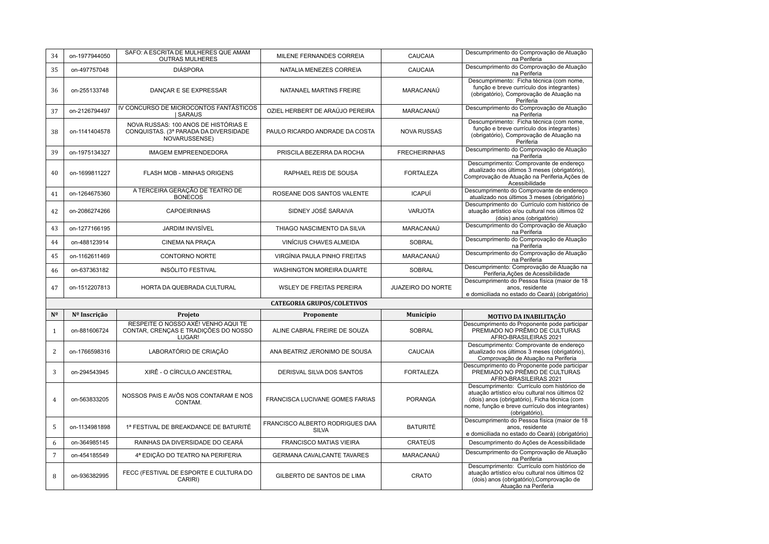| 34              | on-1977944050 | SAFO: A ESCRITA DE MULHERES QUE AMAM<br><b>OUTRAS MULHERES</b>                                 | MILENE FERNANDES CORREIA                        | CAUCAIA              | Descumprimento do Comprovação de Atuação<br>na Periferia                                                                                                                                                           |
|-----------------|---------------|------------------------------------------------------------------------------------------------|-------------------------------------------------|----------------------|--------------------------------------------------------------------------------------------------------------------------------------------------------------------------------------------------------------------|
| 35              | on-497757048  | <b>DIÁSPORA</b>                                                                                | NATALIA MENEZES CORREIA                         | CAUCAIA              | Descumprimento do Comprovação de Atuação<br>na Periferia                                                                                                                                                           |
| 36              | on-255133748  | DANÇAR E SE EXPRESSAR                                                                          | NATANAEL MARTINS FREIRE                         | MARACANAÚ            | Descumprimento: Ficha técnica (com nome,<br>função e breve currículo dos integrantes)<br>(obrigatório), Comprovação de Atuação na<br>Periferia                                                                     |
| 37              | on-2126794497 | IV CONCURSO DE MICROCONTOS FANTÁSTICOS<br><b>SARAUS</b>                                        | OZIEL HERBERT DE ARAÚJO PEREIRA                 | MARACANAÚ            | Descumprimento do Comprovação de Atuação<br>na Periferia                                                                                                                                                           |
| 38              | on-1141404578 | NOVA RUSSAS: 100 ANOS DE HISTÓRIAS E<br>CONQUISTAS. (3ª PARADA DA DIVERSIDADE<br>NOVARUSSENSE) | PAULO RICARDO ANDRADE DA COSTA                  | <b>NOVA RUSSAS</b>   | Descumprimento: Ficha técnica (com nome,<br>função e breve currículo dos integrantes)<br>(obrigatório), Comprovação de Atuação na<br>Periferia                                                                     |
| 39              | on-1975134327 | <b>IMAGEM EMPREENDEDORA</b>                                                                    | PRISCILA BEZERRA DA ROCHA                       | <b>FRECHEIRINHAS</b> | Descumprimento do Comprovação de Atuação<br>na Periferia                                                                                                                                                           |
| 40              | on-1699811227 | FLASH MOB - MINHAS ORIGENS                                                                     | RAPHAEL REIS DE SOUSA                           | <b>FORTALEZA</b>     | Descumprimento: Comprovante de endereço<br>atualizado nos últimos 3 meses (obrigatório),<br>Comprovação de Atuação na Periferia, Ações de<br>Acessibilidade                                                        |
| 41              | on-1264675360 | A TERCEIRA GERAÇÃO DE TEATRO DE<br><b>BONECOS</b>                                              | ROSEANE DOS SANTOS VALENTE                      | <b>ICAPUÍ</b>        | Descumprimento do Comprovante de endereço<br>atualizado nos últimos 3 meses (obrigatório)                                                                                                                          |
| 42              | on-2086274266 | <b>CAPOEIRINHAS</b>                                                                            | SIDNEY JOSÉ SARAIVA                             | <b>VARJOTA</b>       | Descumprimento do Currículo com histórico de<br>atuação artístico e/ou cultural nos últimos 02<br>(dois) anos (obrigatório)                                                                                        |
| 43              | on-1277166195 | <b>JARDIM INVISÍVEL</b>                                                                        | THIAGO NASCIMENTO DA SILVA                      | MARACANAÚ            | Descumprimento do Comprovação de Atuação<br>na Periferia                                                                                                                                                           |
| 44              | on-488123914  | CINEMA NA PRAÇA                                                                                | VINÍCIUS CHAVES ALMEIDA                         | <b>SOBRAL</b>        | Descumprimento do Comprovação de Atuação<br>na Periferia                                                                                                                                                           |
| 45              | on-1162611469 | CONTORNO NORTE                                                                                 | VIRGÍNIA PAULA PINHO FREITAS                    | MARACANAÚ            | Descumprimento do Comprovação de Atuação<br>na Periferia                                                                                                                                                           |
| 46              | on-637363182  | <b>INSÓLITO FESTIVAL</b>                                                                       | WASHINGTON MOREIRA DUARTE                       | <b>SOBRAL</b>        | Descumprimento: Comprovação de Atuação na<br>Periferia, Ações de Acessibilidade                                                                                                                                    |
| 47              | on-1512207813 | HORTA DA QUEBRADA CULTURAL                                                                     | <b>WSLEY DE FREITAS PEREIRA</b>                 | JUAZEIRO DO NORTE    | Descumprimento do Pessoa física (maior de 18<br>anos, residente<br>e domiciliada no estado do Ceará) (obrigatório)                                                                                                 |
|                 |               |                                                                                                | <b>CATEGORIA GRUPOS/COLETIVOS</b>               |                      |                                                                                                                                                                                                                    |
| N <sup>o</sup>  | Nº Inscrição  | Projeto                                                                                        | Proponente                                      | Município            | MOTIVO DA INABILITAÇÃO                                                                                                                                                                                             |
| 1               | on-881606724  | RESPEITE O NOSSO AXÉ! VENHO AQUI TE<br>CONTAR, CRENCAS E TRADIÇÕES DO NOSSO<br>LUGAR!          | ALINE CABRAL FREIRE DE SOUZA                    | <b>SOBRAL</b>        | Descumprimento do Proponente pode participar<br>PREMIADO NO PRÊMIO DE CULTURAS<br>AFRO-BRASILEIRAS 2021                                                                                                            |
| $\overline{c}$  | on-1766598316 | LABORATÓRIO DE CRIAÇÃO                                                                         | ANA BEATRIZ JERONIMO DE SOUSA                   | CAUCAIA              | Descumprimento: Comprovante de endereço<br>atualizado nos últimos 3 meses (obrigatório),<br>Comprovação de Atuação na Periferia                                                                                    |
| 3               | on-294543945  | XIRÊ - O CÍRCULO ANCESTRAL                                                                     | DERISVAL SILVA DOS SANTOS                       | <b>FORTALEZA</b>     | Descumprimento do Proponente pode participar<br>PREMIADO NO PRÊMIO DE CULTURAS<br>AFRO-BRASILEIRAS 2021                                                                                                            |
| $\overline{4}$  | on-563833205  | NOSSOS PAIS E AVÔS NOS CONTARAM E NOS<br>CONTAM.                                               | FRANCISCA LUCIVANE GOMES FARIAS                 | <b>PORANGA</b>       | Descumprimento: Currículo com histórico de<br>atuação artístico e/ou cultural nos últimos 02<br>(dois) anos (obrigatório), Ficha técnica (com<br>nome, função e breve currículo dos integrantes)<br>(obrigatório), |
| 5               | on-1134981898 | 1ª FESTIVAL DE BREAKDANCE DE BATURITÉ                                                          | FRANCISCO ALBERTO RODRIGUES DAA<br><b>SILVA</b> | <b>BATURITÉ</b>      | Descumprimento do Pessoa física (maior de 18<br>anos, residente<br>e domiciliada no estado do Ceará) (obrigatório)                                                                                                 |
| 6               | on-364985145  | RAINHAS DA DIVERSIDADE DO CEARÁ                                                                | <b>FRANCISCO MATIAS VIEIRA</b>                  | <b>CRATEÚS</b>       | Descumprimento do Ações de Acessibilidade                                                                                                                                                                          |
| $7\phantom{.0}$ | on-454185549  | 4ª EDIÇÃO DO TEATRO NA PERIFERIA                                                               | <b>GERMANA CAVALCANTE TAVARES</b>               | MARACANAÚ            | Descumprimento do Comprovação de Atuação<br>na Periferia                                                                                                                                                           |
| 8               | on-936382995  | FECC (FESTIVAL DE ESPORTE E CULTURA DO<br>CARIRI)                                              | GILBERTO DE SANTOS DE LIMA                      | CRATO                | Descumprimento: Currículo com histórico de<br>atuação artístico e/ou cultural nos últimos 02<br>(dois) anos (obrigatório), Comprovação de<br>Atuação na Periferia                                                  |